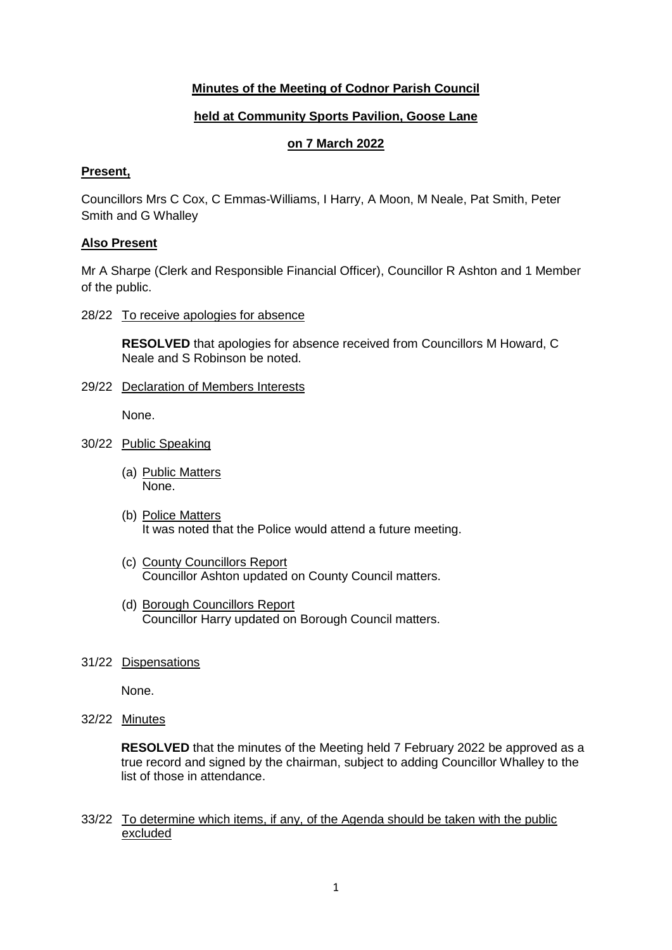# **Minutes of the Meeting of Codnor Parish Council**

## **held at Community Sports Pavilion, Goose Lane**

## **on 7 March 2022**

#### **Present,**

Councillors Mrs C Cox, C Emmas-Williams, I Harry, A Moon, M Neale, Pat Smith, Peter Smith and G Whalley

### **Also Present**

Mr A Sharpe (Clerk and Responsible Financial Officer), Councillor R Ashton and 1 Member of the public.

28/22 To receive apologies for absence

**RESOLVED** that apologies for absence received from Councillors M Howard, C Neale and S Robinson be noted.

29/22 Declaration of Members Interests

None.

- 30/22 Public Speaking
	- (a) Public Matters None.
	- (b) Police Matters It was noted that the Police would attend a future meeting.
	- (c) County Councillors Report Councillor Ashton updated on County Council matters.
	- (d) Borough Councillors Report Councillor Harry updated on Borough Council matters.
- 31/22 Dispensations

None.

32/22 Minutes

**RESOLVED** that the minutes of the Meeting held 7 February 2022 be approved as a true record and signed by the chairman, subject to adding Councillor Whalley to the list of those in attendance.

33/22 To determine which items, if any, of the Agenda should be taken with the public excluded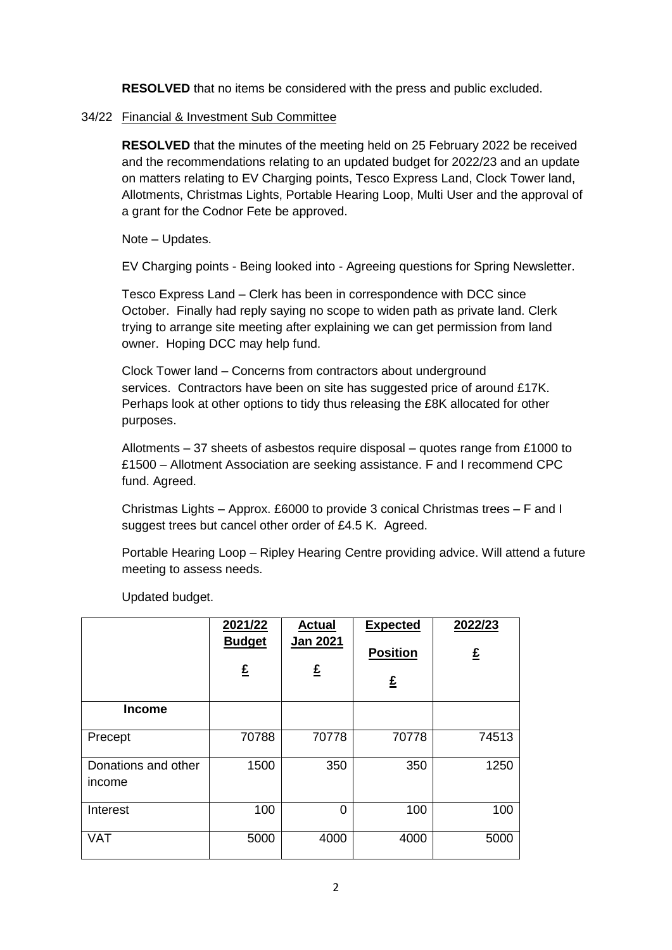**RESOLVED** that no items be considered with the press and public excluded.

## 34/22 Financial & Investment Sub Committee

**RESOLVED** that the minutes of the meeting held on 25 February 2022 be received and the recommendations relating to an updated budget for 2022/23 and an update on matters relating to EV Charging points, Tesco Express Land, Clock Tower land, Allotments, Christmas Lights, Portable Hearing Loop, Multi User and the approval of a grant for the Codnor Fete be approved.

Note – Updates.

EV Charging points - Being looked into - Agreeing questions for Spring Newsletter.

Tesco Express Land – Clerk has been in correspondence with DCC since October. Finally had reply saying no scope to widen path as private land. Clerk trying to arrange site meeting after explaining we can get permission from land owner. Hoping DCC may help fund.

Clock Tower land – Concerns from contractors about underground services. Contractors have been on site has suggested price of around £17K. Perhaps look at other options to tidy thus releasing the £8K allocated for other purposes.

Allotments – 37 sheets of asbestos require disposal – quotes range from £1000 to £1500 – Allotment Association are seeking assistance. F and I recommend CPC fund. Agreed.

Christmas Lights – Approx. £6000 to provide 3 conical Christmas trees – F and I suggest trees but cancel other order of £4.5 K. Agreed.

Portable Hearing Loop – Ripley Hearing Centre providing advice. Will attend a future meeting to assess needs.

|                               | 2021/22<br><b>Budget</b><br>£ | <b>Actual</b><br><b>Jan 2021</b><br>£ | <b>Expected</b><br><b>Position</b><br>£ | 2022/23<br>£ |
|-------------------------------|-------------------------------|---------------------------------------|-----------------------------------------|--------------|
| <b>Income</b>                 |                               |                                       |                                         |              |
| Precept                       | 70788                         | 70778                                 | 70778                                   | 74513        |
| Donations and other<br>income | 1500                          | 350                                   | 350                                     | 1250         |
| Interest                      | 100                           | 0                                     | 100                                     | 100          |
| <b>VAT</b>                    | 5000                          | 4000                                  | 4000                                    | 5000         |

Updated budget.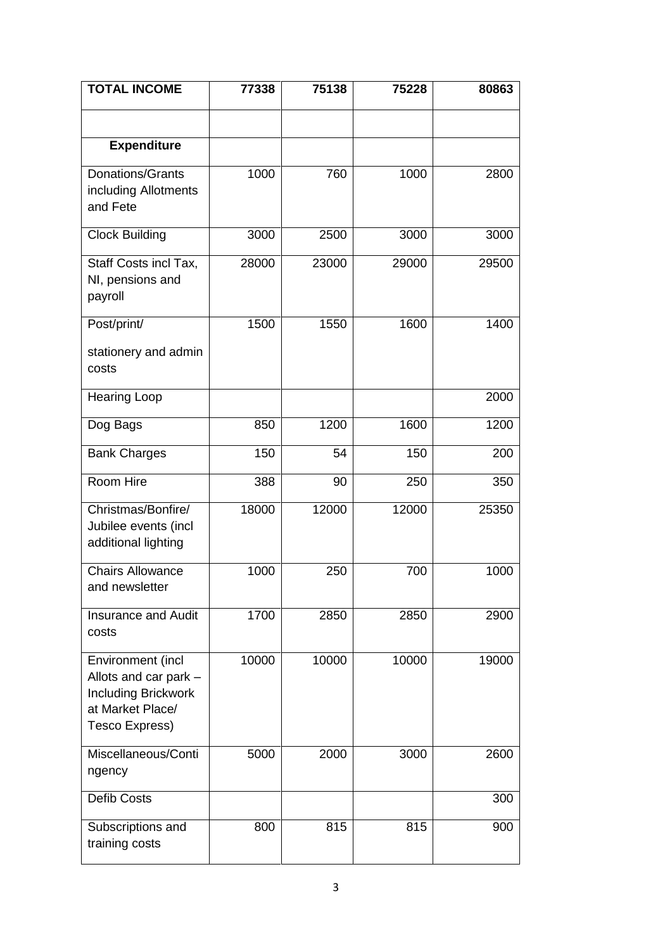| <b>TOTAL INCOME</b>                                                                                            | 77338 | 75138 | 75228 | 80863 |
|----------------------------------------------------------------------------------------------------------------|-------|-------|-------|-------|
|                                                                                                                |       |       |       |       |
| <b>Expenditure</b>                                                                                             |       |       |       |       |
| Donations/Grants<br>including Allotments<br>and Fete                                                           | 1000  | 760   | 1000  | 2800  |
| <b>Clock Building</b>                                                                                          | 3000  | 2500  | 3000  | 3000  |
| Staff Costs incl Tax,<br>NI, pensions and<br>payroll                                                           | 28000 | 23000 | 29000 | 29500 |
| Post/print/                                                                                                    | 1500  | 1550  | 1600  | 1400  |
| stationery and admin<br>costs                                                                                  |       |       |       |       |
| <b>Hearing Loop</b>                                                                                            |       |       |       | 2000  |
| Dog Bags                                                                                                       | 850   | 1200  | 1600  | 1200  |
| <b>Bank Charges</b>                                                                                            | 150   | 54    | 150   | 200   |
| Room Hire                                                                                                      | 388   | 90    | 250   | 350   |
| Christmas/Bonfire/<br>Jubilee events (incl<br>additional lighting                                              | 18000 | 12000 | 12000 | 25350 |
| <b>Chairs Allowance</b><br>and newsletter                                                                      | 1000  | 250   | 700   | 1000  |
| <b>Insurance and Audit</b><br>costs                                                                            | 1700  | 2850  | 2850  | 2900  |
| Environment (incl<br>Allots and car park -<br><b>Including Brickwork</b><br>at Market Place/<br>Tesco Express) | 10000 | 10000 | 10000 | 19000 |
| Miscellaneous/Conti<br>ngency                                                                                  | 5000  | 2000  | 3000  | 2600  |
| Defib Costs                                                                                                    |       |       |       | 300   |
| Subscriptions and<br>training costs                                                                            | 800   | 815   | 815   | 900   |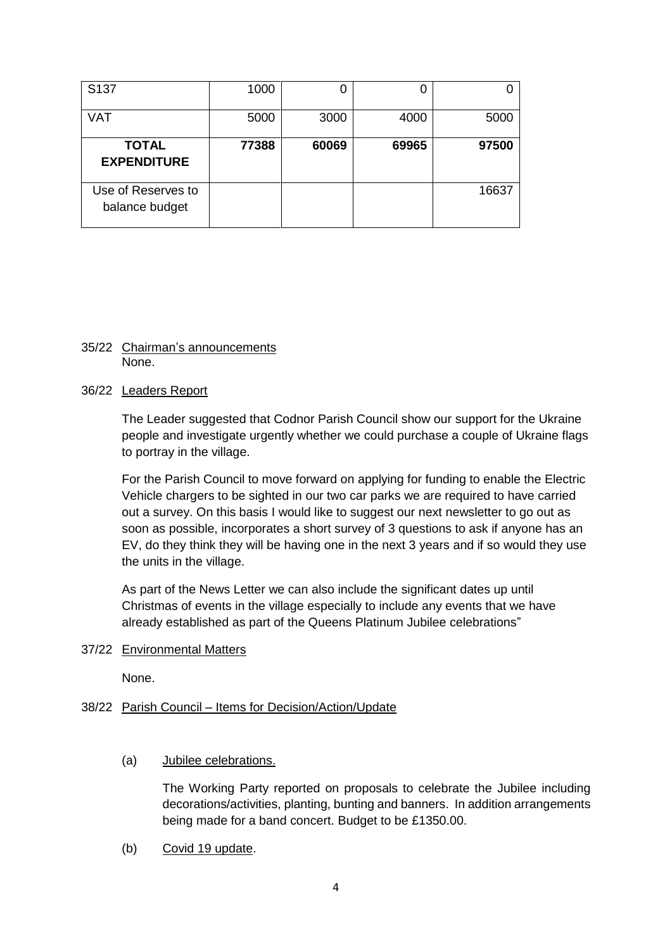| S <sub>137</sub>                     | 1000  |       | U     |       |
|--------------------------------------|-------|-------|-------|-------|
| <b>VAT</b>                           | 5000  | 3000  | 4000  | 5000  |
| <b>TOTAL</b><br><b>EXPENDITURE</b>   | 77388 | 60069 | 69965 | 97500 |
| Use of Reserves to<br>balance budget |       |       |       | 16637 |

#### 35/22 Chairman's announcements None.

#### 36/22 Leaders Report

The Leader suggested that Codnor Parish Council show our support for the Ukraine people and investigate urgently whether we could purchase a couple of Ukraine flags to portray in the village.

For the Parish Council to move forward on applying for funding to enable the Electric Vehicle chargers to be sighted in our two car parks we are required to have carried out a survey. On this basis I would like to suggest our next newsletter to go out as soon as possible, incorporates a short survey of 3 questions to ask if anyone has an EV, do they think they will be having one in the next 3 years and if so would they use the units in the village.

As part of the News Letter we can also include the significant dates up until Christmas of events in the village especially to include any events that we have already established as part of the Queens Platinum Jubilee celebrations"

### 37/22 Environmental Matters

None.

### 38/22 Parish Council – Items for Decision/Action/Update

(a) Jubilee celebrations.

The Working Party reported on proposals to celebrate the Jubilee including decorations/activities, planting, bunting and banners. In addition arrangements being made for a band concert. Budget to be £1350.00.

(b) Covid 19 update.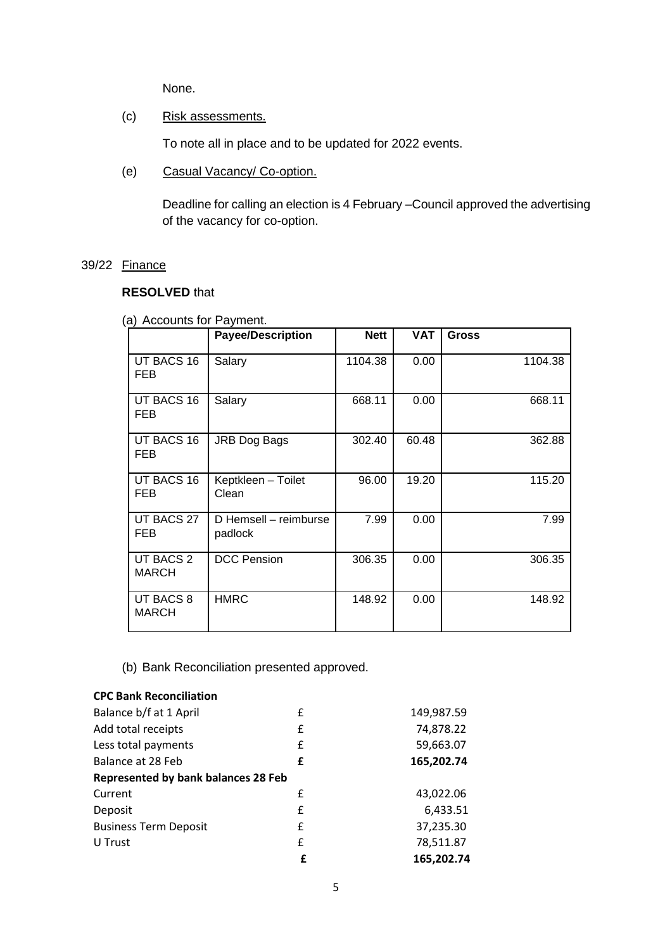None.

(c) Risk assessments.

To note all in place and to be updated for 2022 events.

(e) Casual Vacancy/ Co-option.

Deadline for calling an election is 4 February –Council approved the advertising of the vacancy for co-option.

### 39/22 Finance

# **RESOLVED** that

|  | (a) Accounts for Payment. |  |  |
|--|---------------------------|--|--|
|--|---------------------------|--|--|

|                           | <b>Payee/Description</b>         | <b>Nett</b> | <b>VAT</b> | <b>Gross</b> |
|---------------------------|----------------------------------|-------------|------------|--------------|
| UT BACS 16<br><b>FEB</b>  | Salary                           | 1104.38     | 0.00       | 1104.38      |
| UT BACS 16<br><b>FEB</b>  | Salary                           | 668.11      | 0.00       | 668.11       |
| UT BACS 16<br><b>FEB</b>  | JRB Dog Bags                     | 302.40      | 60.48      | 362.88       |
| UT BACS 16<br><b>FEB</b>  | Keptkleen - Toilet<br>Clean      | 96.00       | 19.20      | 115.20       |
| UT BACS 27<br><b>FEB</b>  | D Hemsell - reimburse<br>padlock | 7.99        | 0.00       | 7.99         |
| UT BACS 2<br><b>MARCH</b> | <b>DCC Pension</b>               | 306.35      | 0.00       | 306.35       |
| UT BACS 8<br><b>MARCH</b> | <b>HMRC</b>                      | 148.92      | 0.00       | 148.92       |

(b) Bank Reconciliation presented approved.

# **CPC Bank Reconciliation**

| Balance b/f at 1 April              | £ | 149,987.59 |
|-------------------------------------|---|------------|
| Add total receipts                  | £ | 74,878.22  |
| Less total payments                 | £ | 59,663.07  |
| Balance at 28 Feb                   | £ | 165,202.74 |
| Represented by bank balances 28 Feb |   |            |
| Current                             | f | 43,022.06  |
| Deposit                             | £ | 6,433.51   |
| <b>Business Term Deposit</b>        | £ | 37,235.30  |
| U Trust                             | £ | 78,511.87  |
|                                     | £ | 165,202.74 |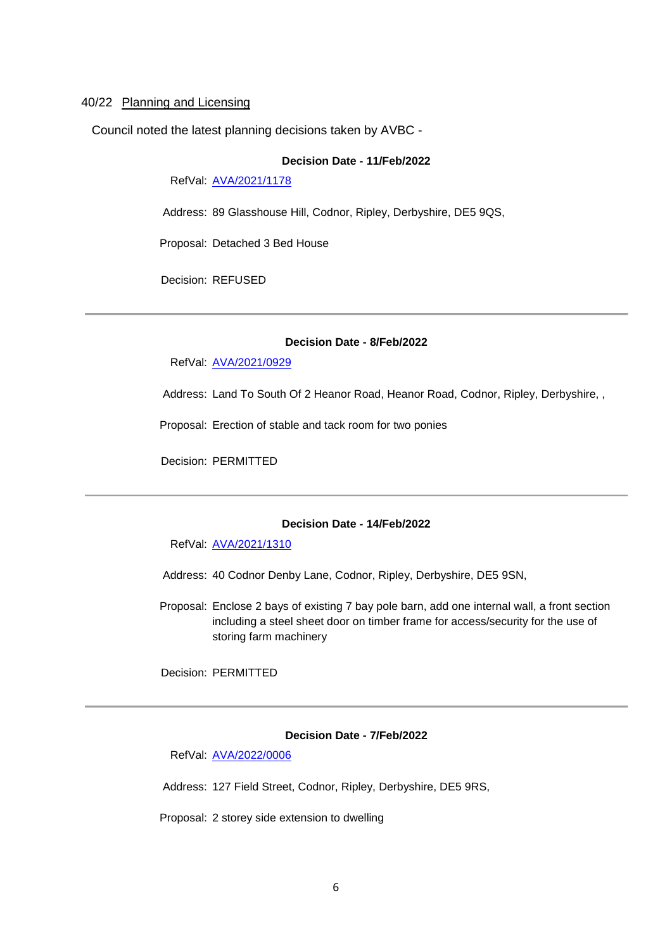#### 40/22 Planning and Licensing

Council noted the latest planning decisions taken by AVBC -

#### **Decision Date - 11/Feb/2022**

RefVal: [AVA/2021/1178](https://www.ambervalley.gov.uk/planapps?refval=AVA-2021-1178)

Address: 89 Glasshouse Hill, Codnor, Ripley, Derbyshire, DE5 9QS,

Proposal: Detached 3 Bed House

Decision: REFUSED

#### **Decision Date - 8/Feb/2022**

RefVal: [AVA/2021/0929](https://www.ambervalley.gov.uk/planapps?refval=AVA-2021-0929)

Address: Land To South Of 2 Heanor Road, Heanor Road, Codnor, Ripley, Derbyshire, ,

Proposal: Erection of stable and tack room for two ponies

Decision: PERMITTED

#### **Decision Date - 14/Feb/2022**

RefVal: [AVA/2021/1310](https://www.ambervalley.gov.uk/planapps?refval=AVA-2021-1310)

- Address: 40 Codnor Denby Lane, Codnor, Ripley, Derbyshire, DE5 9SN,
- Proposal: Enclose 2 bays of existing 7 bay pole barn, add one internal wall, a front section including a steel sheet door on timber frame for access/security for the use of storing farm machinery

Decision: PERMITTED

#### **Decision Date - 7/Feb/2022**

RefVal: [AVA/2022/0006](https://www.ambervalley.gov.uk/planapps?refval=AVA-2022-0006)

Address: 127 Field Street, Codnor, Ripley, Derbyshire, DE5 9RS,

Proposal: 2 storey side extension to dwelling